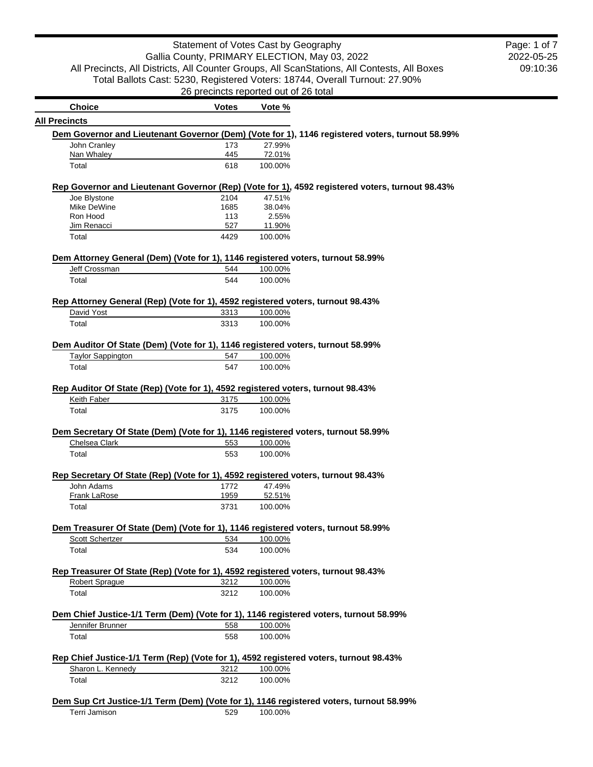## Statement of Votes Cast by Geography Gallia County, PRIMARY ELECTION, May 03, 2022 All Precincts, All Districts, All Counter Groups, All ScanStations, All Contests, All Boxes Total Ballots Cast: 5230, Registered Voters: 18744, Overall Turnout: 27.90% 26 precincts reported out of 26 total

2022-05-25 09:10:36 Page: 1 of 7

| <b>Choice</b>                                                                           | <b>Votes</b> | Vote %  |                                                                                                 |
|-----------------------------------------------------------------------------------------|--------------|---------|-------------------------------------------------------------------------------------------------|
| <b>All Precincts</b>                                                                    |              |         |                                                                                                 |
|                                                                                         |              |         | Dem Governor and Lieutenant Governor (Dem) (Vote for 1), 1146 registered voters, turnout 58.99% |
| John Cranley                                                                            | 173          | 27.99%  |                                                                                                 |
| Nan Whaley                                                                              | 445          | 72.01%  |                                                                                                 |
| Total                                                                                   | 618          | 100.00% |                                                                                                 |
|                                                                                         |              |         | Rep Governor and Lieutenant Governor (Rep) (Vote for 1), 4592 registered voters, turnout 98.43% |
| Joe Blystone                                                                            | 2104         | 47.51%  |                                                                                                 |
| Mike DeWine                                                                             | 1685         | 38.04%  |                                                                                                 |
| Ron Hood                                                                                | 113          | 2.55%   |                                                                                                 |
| Jim Renacci                                                                             | 527          | 11.90%  |                                                                                                 |
| Total                                                                                   | 4429         | 100.00% |                                                                                                 |
| Dem Attorney General (Dem) (Vote for 1), 1146 registered voters, turnout 58.99%         |              |         |                                                                                                 |
| Jeff Crossman                                                                           | 544          | 100.00% |                                                                                                 |
| Total                                                                                   | 544          | 100.00% |                                                                                                 |
| Rep Attorney General (Rep) (Vote for 1), 4592 registered voters, turnout 98.43%         |              |         |                                                                                                 |
| David Yost                                                                              | 3313         | 100.00% |                                                                                                 |
| Total                                                                                   | 3313         | 100.00% |                                                                                                 |
|                                                                                         |              |         |                                                                                                 |
| Dem Auditor Of State (Dem) (Vote for 1), 1146 registered voters, turnout 58.99%         |              |         |                                                                                                 |
| <b>Taylor Sappington</b>                                                                | 547          | 100.00% |                                                                                                 |
| Total                                                                                   | 547          | 100.00% |                                                                                                 |
|                                                                                         |              |         |                                                                                                 |
| Rep Auditor Of State (Rep) (Vote for 1), 4592 registered voters, turnout 98.43%         |              |         |                                                                                                 |
| Keith Faber                                                                             | 3175         | 100.00% |                                                                                                 |
| Total                                                                                   | 3175         | 100.00% |                                                                                                 |
|                                                                                         |              |         |                                                                                                 |
| Dem Secretary Of State (Dem) (Vote for 1), 1146 registered voters, turnout 58.99%       |              |         |                                                                                                 |
| Chelsea Clark                                                                           | 553          | 100.00% |                                                                                                 |
| Total                                                                                   | 553          | 100.00% |                                                                                                 |
|                                                                                         |              |         |                                                                                                 |
| Rep Secretary Of State (Rep) (Vote for 1), 4592 registered voters, turnout 98.43%       |              |         |                                                                                                 |
| John Adams                                                                              | 1772         | 47.49%  |                                                                                                 |
| Frank LaRose                                                                            | 1959         | 52.51%  |                                                                                                 |
| Total                                                                                   | 3731         | 100.00% |                                                                                                 |
| Dem Treasurer Of State (Dem) (Vote for 1), 1146 registered voters, turnout 58.99%       |              |         |                                                                                                 |
| Scott Schertzer                                                                         | 534          | 100.00% |                                                                                                 |
| Total                                                                                   | 534          | 100.00% |                                                                                                 |
|                                                                                         |              |         |                                                                                                 |
| Rep Treasurer Of State (Rep) (Vote for 1), 4592 registered voters, turnout 98.43%       |              |         |                                                                                                 |
| <b>Robert Sprague</b>                                                                   | 3212         | 100.00% |                                                                                                 |
| Total                                                                                   | 3212         | 100.00% |                                                                                                 |
|                                                                                         |              |         |                                                                                                 |
| Dem Chief Justice-1/1 Term (Dem) (Vote for 1), 1146 registered voters, turnout 58.99%   |              |         |                                                                                                 |
| Jennifer Brunner                                                                        | 558          | 100.00% |                                                                                                 |
| Total                                                                                   | 558          | 100.00% |                                                                                                 |
|                                                                                         |              |         |                                                                                                 |
| Rep Chief Justice-1/1 Term (Rep) (Vote for 1), 4592 registered voters, turnout 98.43%   |              |         |                                                                                                 |
| Sharon L. Kennedy                                                                       | 3212         | 100.00% |                                                                                                 |
| Total                                                                                   | 3212         | 100.00% |                                                                                                 |
|                                                                                         |              |         |                                                                                                 |
| Dem Sup Crt Justice-1/1 Term (Dem) (Vote for 1), 1146 registered voters, turnout 58.99% |              |         |                                                                                                 |
| Terri Jamison                                                                           | 529          | 100.00% |                                                                                                 |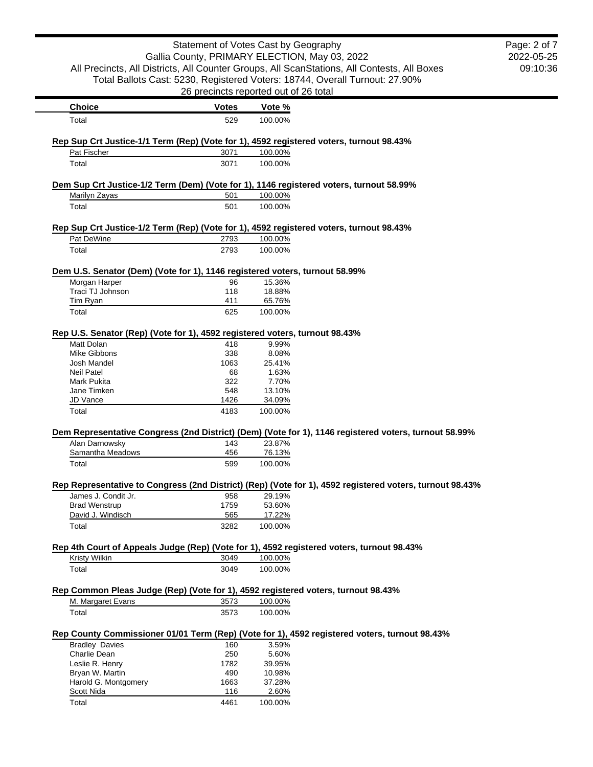|                                                                                                  | Statement of Votes Cast by Geography  |                  |                                                                                                          | Page: 2 of 7 |
|--------------------------------------------------------------------------------------------------|---------------------------------------|------------------|----------------------------------------------------------------------------------------------------------|--------------|
|                                                                                                  |                                       |                  | Gallia County, PRIMARY ELECTION, May 03, 2022                                                            | 2022-05-25   |
|                                                                                                  |                                       |                  | All Precincts, All Districts, All Counter Groups, All ScanStations, All Contests, All Boxes              | 09:10:36     |
|                                                                                                  |                                       |                  | Total Ballots Cast: 5230, Registered Voters: 18744, Overall Turnout: 27.90%                              |              |
|                                                                                                  | 26 precincts reported out of 26 total |                  |                                                                                                          |              |
| <b>Choice</b>                                                                                    | <b>Votes</b>                          | Vote %           |                                                                                                          |              |
| Total                                                                                            | 529                                   | 100.00%          |                                                                                                          |              |
| Rep Sup Crt Justice-1/1 Term (Rep) (Vote for 1), 4592 registered voters, turnout 98.43%          |                                       |                  |                                                                                                          |              |
| Pat Fischer                                                                                      | 3071                                  | 100.00%          |                                                                                                          |              |
| Total                                                                                            | 3071                                  | 100.00%          |                                                                                                          |              |
| Dem Sup Crt Justice-1/2 Term (Dem) (Vote for 1), 1146 registered voters, turnout 58.99%          |                                       |                  |                                                                                                          |              |
| Marilyn Zayas                                                                                    | 501                                   | 100.00%          |                                                                                                          |              |
| Total                                                                                            | 501                                   | 100.00%          |                                                                                                          |              |
| Rep Sup Crt Justice-1/2 Term (Rep) (Vote for 1), 4592 registered voters, turnout 98.43%          |                                       |                  |                                                                                                          |              |
| Pat DeWine                                                                                       | 2793                                  | 100.00%          |                                                                                                          |              |
| Total                                                                                            | 2793                                  | 100.00%          |                                                                                                          |              |
|                                                                                                  |                                       |                  |                                                                                                          |              |
| Dem U.S. Senator (Dem) (Vote for 1), 1146 registered voters, turnout 58.99%<br>Morgan Harper     | 96                                    | 15.36%           |                                                                                                          |              |
| Traci TJ Johnson                                                                                 | 118                                   | 18.88%           |                                                                                                          |              |
| <b>Tim Ryan</b>                                                                                  | 411                                   | 65.76%           |                                                                                                          |              |
| Total                                                                                            | 625                                   | 100.00%          |                                                                                                          |              |
|                                                                                                  |                                       |                  |                                                                                                          |              |
| Rep U.S. Senator (Rep) (Vote for 1), 4592 registered voters, turnout 98.43%<br><b>Matt Dolan</b> | 418                                   | 9.99%            |                                                                                                          |              |
| Mike Gibbons                                                                                     | 338                                   | 8.08%            |                                                                                                          |              |
| Josh Mandel                                                                                      | 1063                                  | 25.41%           |                                                                                                          |              |
| <b>Neil Patel</b>                                                                                | 68                                    | 1.63%            |                                                                                                          |              |
| Mark Pukita                                                                                      | 322                                   | 7.70%            |                                                                                                          |              |
| Jane Timken                                                                                      | 548                                   | 13.10%           |                                                                                                          |              |
| JD Vance                                                                                         | 1426                                  | 34.09%           |                                                                                                          |              |
| Total                                                                                            | 4183                                  | 100.00%          |                                                                                                          |              |
|                                                                                                  |                                       |                  | Dem Representative Congress (2nd District) (Dem) (Vote for 1), 1146 registered voters, turnout 58.99%    |              |
| Alan Darnowsky                                                                                   | 143                                   | 23.87%           |                                                                                                          |              |
| Samantha Meadows                                                                                 | 456<br>599                            | 76.13%           |                                                                                                          |              |
| Total                                                                                            |                                       | 100.00%          |                                                                                                          |              |
|                                                                                                  |                                       |                  | Rep Representative to Congress (2nd District) (Rep) (Vote for 1), 4592 registered voters, turnout 98.43% |              |
| James J. Condit Jr.                                                                              | 958                                   | 29.19%           |                                                                                                          |              |
| <b>Brad Wenstrup</b><br>David J. Windisch                                                        | 1759<br>565                           | 53.60%<br>17.22% |                                                                                                          |              |
| Total                                                                                            | 3282                                  | 100.00%          |                                                                                                          |              |
|                                                                                                  |                                       |                  |                                                                                                          |              |
| Kristy Wilkin                                                                                    | 3049                                  | 100.00%          | Rep 4th Court of Appeals Judge (Rep) (Vote for 1), 4592 registered voters, turnout 98.43%                |              |
| Total                                                                                            | 3049                                  | 100.00%          |                                                                                                          |              |
|                                                                                                  |                                       |                  |                                                                                                          |              |
| Rep Common Pleas Judge (Rep) (Vote for 1), 4592 registered voters, turnout 98.43%                |                                       |                  |                                                                                                          |              |
| M. Margaret Evans                                                                                | 3573                                  | 100.00%          |                                                                                                          |              |
| Total                                                                                            | 3573                                  | 100.00%          |                                                                                                          |              |
|                                                                                                  |                                       |                  | Rep County Commissioner 01/01 Term (Rep) (Vote for 1), 4592 registered voters, turnout 98.43%            |              |
| <b>Bradley Davies</b>                                                                            | 160                                   | 3.59%            |                                                                                                          |              |
| Charlie Dean                                                                                     | 250                                   | 5.60%            |                                                                                                          |              |
| Leslie R. Henry                                                                                  | 1782                                  | 39.95%           |                                                                                                          |              |
| Bryan W. Martin                                                                                  | 490                                   | 10.98%           |                                                                                                          |              |
| Harold G. Montgomery                                                                             | 1663                                  | 37.28%           |                                                                                                          |              |
| Scott Nida                                                                                       | 116                                   | 2.60%            |                                                                                                          |              |
| Total                                                                                            | 4461                                  | 100.00%          |                                                                                                          |              |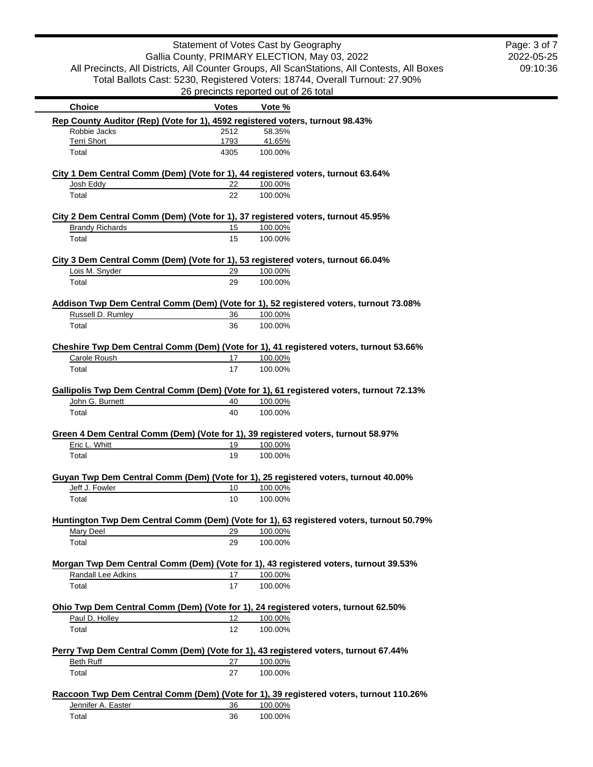2022-05-25 09:10:36 Page: 3 of 7

|                                                                                               | <b>Votes</b> | Vote %                                                                                            |
|-----------------------------------------------------------------------------------------------|--------------|---------------------------------------------------------------------------------------------------|
| <b>Choice</b>                                                                                 |              |                                                                                                   |
| Rep County Auditor (Rep) (Vote for 1), 4592 registered voters, turnout 98.43%<br>Robbie Jacks | 2512         | 58.35%                                                                                            |
| <b>Terri Short</b>                                                                            | 1793         | 41.65%                                                                                            |
| Total                                                                                         | 4305         | 100.00%                                                                                           |
|                                                                                               |              |                                                                                                   |
|                                                                                               |              | City 1 Dem Central Comm (Dem) (Vote for 1), 44 registered voters, turnout 63.64%                  |
| Josh Eddy                                                                                     | 22           | 100.00%                                                                                           |
| Total                                                                                         | 22           | 100.00%                                                                                           |
|                                                                                               |              |                                                                                                   |
|                                                                                               |              | City 2 Dem Central Comm (Dem) (Vote for 1), 37 registered voters, turnout 45.95%                  |
| <b>Brandy Richards</b>                                                                        | 15           | 100.00%                                                                                           |
| Total                                                                                         | 15           | 100.00%                                                                                           |
|                                                                                               |              | City 3 Dem Central Comm (Dem) (Vote for 1), 53 registered voters, turnout 66.04%                  |
| Lois M. Snyder                                                                                | 29           | 100.00%                                                                                           |
| Total                                                                                         | 29           | 100.00%                                                                                           |
|                                                                                               |              |                                                                                                   |
|                                                                                               |              | Addison Twp Dem Central Comm (Dem) (Vote for 1), 52 registered voters, turnout 73.08%             |
| Russell D. Rumley                                                                             | 36           | 100.00%                                                                                           |
| Total                                                                                         | 36           | 100.00%                                                                                           |
|                                                                                               |              |                                                                                                   |
|                                                                                               |              | Cheshire Twp Dem Central Comm (Dem) (Vote for 1), 41 registered voters, turnout 53.66%            |
| Carole Roush                                                                                  | 17           | 100.00%                                                                                           |
| Total                                                                                         | 17           | 100.00%                                                                                           |
|                                                                                               |              |                                                                                                   |
|                                                                                               |              | Gallipolis Twp Dem Central Comm (Dem) (Vote for 1), 61 registered voters, turnout 72.13%          |
| John G. Burnett                                                                               | 40           | 100.00%                                                                                           |
| Total                                                                                         | 40           | 100.00%                                                                                           |
|                                                                                               |              |                                                                                                   |
|                                                                                               |              |                                                                                                   |
|                                                                                               |              | Green 4 Dem Central Comm (Dem) (Vote for 1), 39 registered voters, turnout 58.97%                 |
| Eric L. Whitt                                                                                 | 19           | 100.00%                                                                                           |
| Total                                                                                         | 19           | 100.00%                                                                                           |
|                                                                                               |              |                                                                                                   |
|                                                                                               | 10           | Guyan Twp Dem Central Comm (Dem) (Vote for 1), 25 registered voters, turnout 40.00%               |
| Jeff J. Fowler<br>Total                                                                       | 10           | 100.00%<br>100.00%                                                                                |
|                                                                                               |              |                                                                                                   |
|                                                                                               |              | Huntington Twp Dem Central Comm (Dem) (Vote for 1), 63 registered voters, turnout 50.79%          |
| Mary Deel                                                                                     | 29           | 100.00%                                                                                           |
| Total                                                                                         | 29           | 100.00%                                                                                           |
|                                                                                               |              |                                                                                                   |
|                                                                                               |              | Morgan Twp Dem Central Comm (Dem) (Vote for 1), 43 registered voters, turnout 39.53%              |
| Randall Lee Adkins                                                                            | 17           | 100.00%                                                                                           |
| Total                                                                                         | 17           | 100.00%                                                                                           |
|                                                                                               |              |                                                                                                   |
|                                                                                               |              | Ohio Twp Dem Central Comm (Dem) (Vote for 1), 24 registered voters, turnout 62.50%                |
| Paul D. Holley                                                                                | 12           | 100.00%                                                                                           |
| Total                                                                                         | 12           | 100.00%                                                                                           |
|                                                                                               |              |                                                                                                   |
|                                                                                               |              | Perry Twp Dem Central Comm (Dem) (Vote for 1), 43 registered voters, turnout 67.44%               |
| Beth Ruff                                                                                     | 27           | 100.00%                                                                                           |
| Total                                                                                         | 27           | 100.00%                                                                                           |
|                                                                                               |              |                                                                                                   |
| Jennifer A. Easter                                                                            | 36           | Raccoon Twp Dem Central Comm (Dem) (Vote for 1), 39 registered voters, turnout 110.26%<br>100.00% |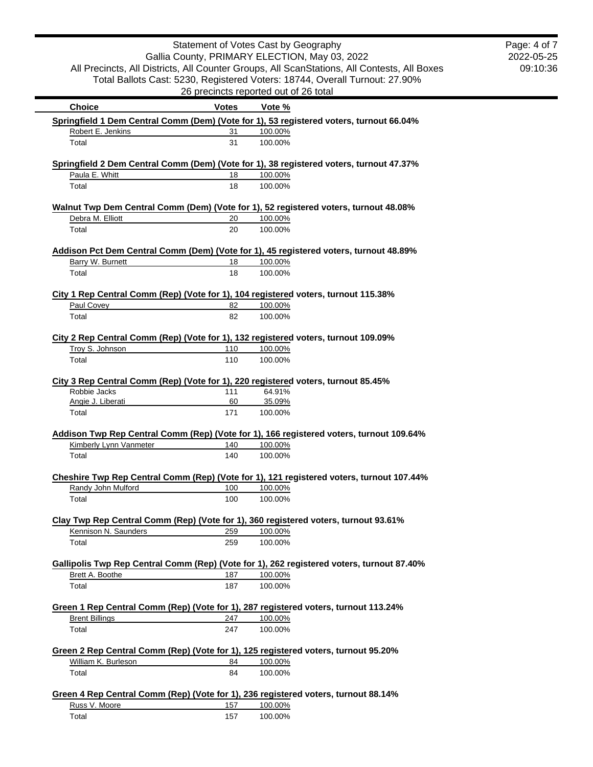|                        |              | Statement of Votes Cast by Geography                                                               | Page: 4 of 7 |
|------------------------|--------------|----------------------------------------------------------------------------------------------------|--------------|
|                        |              | Gallia County, PRIMARY ELECTION, May 03, 2022                                                      | 2022-05-25   |
|                        |              | All Precincts, All Districts, All Counter Groups, All ScanStations, All Contests, All Boxes        | 09:10:36     |
|                        |              | Total Ballots Cast: 5230, Registered Voters: 18744, Overall Turnout: 27.90%                        |              |
|                        |              | 26 precincts reported out of 26 total                                                              |              |
| <b>Choice</b>          | <b>Votes</b> | Vote %                                                                                             |              |
| Robert E. Jenkins      | 31           | Springfield 1 Dem Central Comm (Dem) (Vote for 1), 53 registered voters, turnout 66.04%<br>100.00% |              |
| Total                  | 31           | 100.00%                                                                                            |              |
|                        |              |                                                                                                    |              |
|                        |              | Springfield 2 Dem Central Comm (Dem) (Vote for 1), 38 registered voters, turnout 47.37%            |              |
| Paula E. Whitt         | 18           | 100.00%                                                                                            |              |
| Total                  | 18           | 100.00%                                                                                            |              |
|                        |              | Walnut Twp Dem Central Comm (Dem) (Vote for 1), 52 registered voters, turnout 48.08%               |              |
| Debra M. Elliott       | 20           | 100.00%                                                                                            |              |
| Total                  | 20           | 100.00%                                                                                            |              |
|                        |              | Addison Pct Dem Central Comm (Dem) (Vote for 1), 45 registered voters, turnout 48.89%              |              |
| Barry W. Burnett       | 18           | 100.00%                                                                                            |              |
| Total                  | 18           | 100.00%                                                                                            |              |
|                        |              |                                                                                                    |              |
|                        |              | City 1 Rep Central Comm (Rep) (Vote for 1), 104 registered voters, turnout 115.38%                 |              |
| Paul Covey             | 82           | 100.00%                                                                                            |              |
| Total                  | 82           | 100.00%                                                                                            |              |
|                        |              |                                                                                                    |              |
| Troy S. Johnson        | 110          | City 2 Rep Central Comm (Rep) (Vote for 1), 132 registered voters, turnout 109.09%                 |              |
|                        |              | 100.00%                                                                                            |              |
| Total                  | 110          | 100.00%                                                                                            |              |
|                        |              | City 3 Rep Central Comm (Rep) (Vote for 1), 220 registered voters, turnout 85.45%                  |              |
| Robbie Jacks           | 111          | 64.91%                                                                                             |              |
| Angie J. Liberati      | 60           | 35.09%                                                                                             |              |
| Total                  | 171          | 100.00%                                                                                            |              |
|                        |              |                                                                                                    |              |
|                        |              | Addison Twp Rep Central Comm (Rep) (Vote for 1), 166 registered voters, turnout 109.64%            |              |
| Kimberly Lynn Vanmeter | 140          | 100.00%                                                                                            |              |
| Total                  | 140          | 100.00%                                                                                            |              |
|                        |              | Cheshire Twp Rep Central Comm (Rep) (Vote for 1), 121 registered voters, turnout 107.44%           |              |
| Randy John Mulford     | 100          | 100.00%                                                                                            |              |
| Total                  | 100          | 100.00%                                                                                            |              |
|                        |              |                                                                                                    |              |
|                        |              | Clay Twp Rep Central Comm (Rep) (Vote for 1), 360 registered voters, turnout 93.61%                |              |
| Kennison N. Saunders   | 259          | 100.00%                                                                                            |              |
| Total                  | 259          | 100.00%                                                                                            |              |
|                        |              |                                                                                                    |              |
|                        |              | Gallipolis Twp Rep Central Comm (Rep) (Vote for 1), 262 registered voters, turnout 87.40%          |              |
| Brett A. Boothe        | 187          | 100.00%<br>100.00%                                                                                 |              |
| Total                  | 187          |                                                                                                    |              |
|                        |              | Green 1 Rep Central Comm (Rep) (Vote for 1), 287 registered voters, turnout 113.24%                |              |
| <b>Brent Billings</b>  | 247          | 100.00%                                                                                            |              |
| Total                  | 247          | 100.00%                                                                                            |              |
|                        |              |                                                                                                    |              |
|                        |              | Green 2 Rep Central Comm (Rep) (Vote for 1), 125 registered voters, turnout 95.20%                 |              |
| William K. Burleson    | 84           | 100.00%                                                                                            |              |
| Total                  | 84           | 100.00%                                                                                            |              |
|                        |              |                                                                                                    |              |
|                        |              | Green 4 Rep Central Comm (Rep) (Vote for 1), 236 registered voters, turnout 88.14%                 |              |
| Russ V. Moore          | 157          | 100.00%                                                                                            |              |
| Total                  | 157          | 100.00%                                                                                            |              |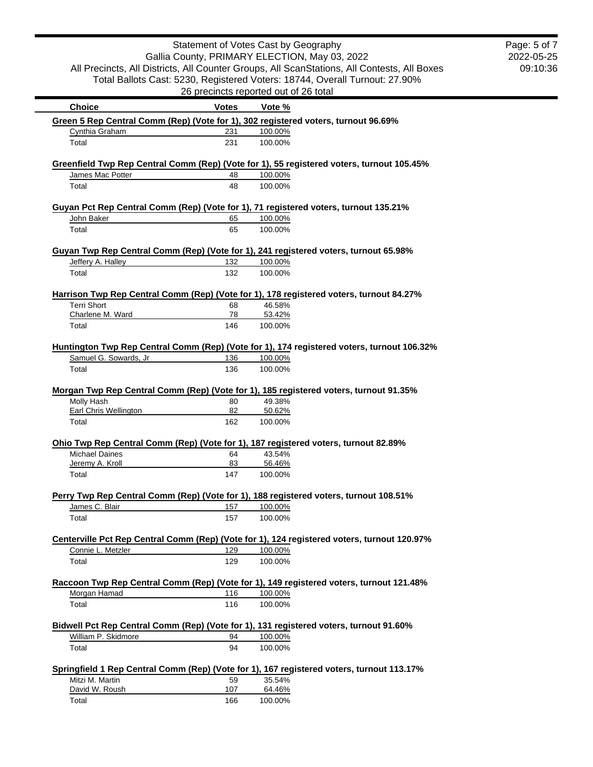|                              |              | Statement of Votes Cast by Geography                                                                  | Page: 5 of 7 |
|------------------------------|--------------|-------------------------------------------------------------------------------------------------------|--------------|
|                              |              | Gallia County, PRIMARY ELECTION, May 03, 2022                                                         | 2022-05-25   |
|                              |              | All Precincts, All Districts, All Counter Groups, All ScanStations, All Contests, All Boxes           | 09:10:36     |
|                              |              | Total Ballots Cast: 5230, Registered Voters: 18744, Overall Turnout: 27.90%                           |              |
|                              |              | 26 precincts reported out of 26 total                                                                 |              |
| <b>Choice</b>                | <b>Votes</b> | Vote %                                                                                                |              |
| Cynthia Graham               | 231          | Green 5 Rep Central Comm (Rep) (Vote for 1), 302 registered voters, turnout 96.69%<br>100.00%         |              |
| Total                        | 231          | 100.00%                                                                                               |              |
|                              |              |                                                                                                       |              |
| James Mac Potter             | 48           | Greenfield Twp Rep Central Comm (Rep) (Vote for 1), 55 registered voters, turnout 105.45%<br>100.00%  |              |
| Total                        | 48           | 100.00%                                                                                               |              |
|                              |              |                                                                                                       |              |
|                              |              | Guyan Pct Rep Central Comm (Rep) (Vote for 1), 71 registered voters, turnout 135.21%                  |              |
| John Baker                   | 65           | 100.00%                                                                                               |              |
| Total                        | 65           | 100.00%                                                                                               |              |
|                              |              | Guyan Twp Rep Central Comm (Rep) (Vote for 1), 241 registered voters, turnout 65.98%                  |              |
| Jeffery A. Halley            | 132          | 100.00%                                                                                               |              |
| Total                        | 132          | 100.00%                                                                                               |              |
|                              |              |                                                                                                       |              |
|                              |              | Harrison Twp Rep Central Comm (Rep) (Vote for 1), 178 registered voters, turnout 84.27%               |              |
| <b>Terri Short</b>           | 68           | 46.58%                                                                                                |              |
| Charlene M. Ward             | 78           | 53.42%                                                                                                |              |
| Total                        | 146          | 100.00%                                                                                               |              |
|                              |              |                                                                                                       |              |
| Samuel G. Sowards, Jr        | 136          | Huntington Twp Rep Central Comm (Rep) (Vote for 1), 174 registered voters, turnout 106.32%<br>100.00% |              |
| Total                        | 136          | 100.00%                                                                                               |              |
|                              |              |                                                                                                       |              |
|                              |              | Morgan Twp Rep Central Comm (Rep) (Vote for 1), 185 registered voters, turnout 91.35%                 |              |
| Molly Hash                   | 80           | 49.38%                                                                                                |              |
| <b>Earl Chris Wellington</b> | 82           | 50.62%                                                                                                |              |
| Total                        | 162          | 100.00%                                                                                               |              |
|                              |              | Ohio Twp Rep Central Comm (Rep) (Vote for 1), 187 registered voters, turnout 82.89%                   |              |
| <b>Michael Daines</b>        | 64           | 43.54%                                                                                                |              |
| Jeremy A. Kroll              | 83           | 56.46%                                                                                                |              |
| Total                        | 147          | 100.00%                                                                                               |              |
|                              |              |                                                                                                       |              |
|                              |              | Perry Twp Rep Central Comm (Rep) (Vote for 1), 188 registered voters, turnout 108.51%                 |              |
| James C. Blair               | 157          | 100.00%                                                                                               |              |
| Total                        | 157          | 100.00%                                                                                               |              |
|                              |              | Centerville Pct Rep Central Comm (Rep) (Vote for 1), 124 registered voters, turnout 120.97%           |              |
| Connie L. Metzler            | 129          | 100.00%                                                                                               |              |
| Total                        | 129          | 100.00%                                                                                               |              |
|                              |              |                                                                                                       |              |
|                              |              | Raccoon Twp Rep Central Comm (Rep) (Vote for 1), 149 registered voters, turnout 121.48%               |              |
| Morgan Hamad                 | 116          | 100.00%                                                                                               |              |
| Total                        | 116          | 100.00%                                                                                               |              |
|                              |              |                                                                                                       |              |
|                              |              | Bidwell Pct Rep Central Comm (Rep) (Vote for 1), 131 registered voters, turnout 91.60%                |              |
| William P. Skidmore          | 94           | 100.00%                                                                                               |              |
| Total                        | 94           | 100.00%                                                                                               |              |
|                              |              | Springfield 1 Rep Central Comm (Rep) (Vote for 1), 167 registered voters, turnout 113.17%             |              |
| Mitzi M. Martin              | 59           | 35.54%                                                                                                |              |
| David W. Roush               | 107          | 64.46%                                                                                                |              |
| Total                        | 166          | 100.00%                                                                                               |              |
|                              |              |                                                                                                       |              |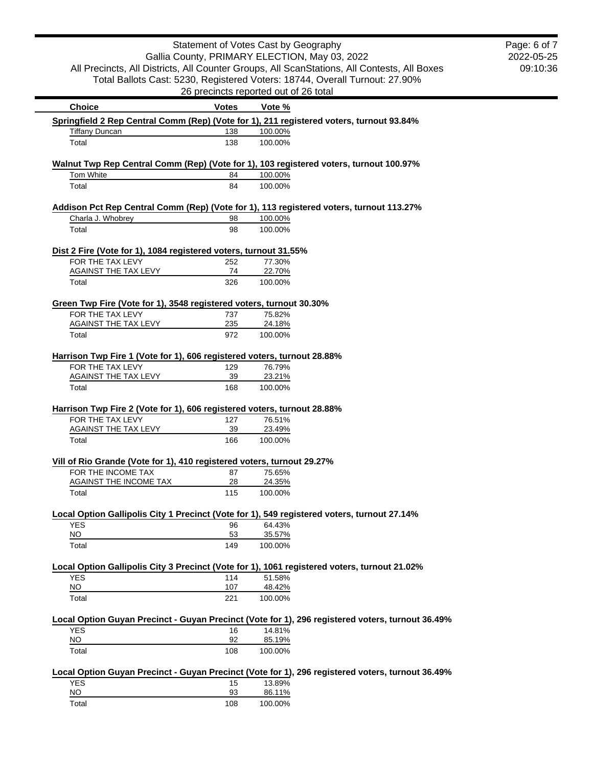|                                                                                              |              | Statement of Votes Cast by Geography  | Gallia County, PRIMARY ELECTION, May 03, 2022                                                    | Page: 6 of 7<br>2022-05-25 |
|----------------------------------------------------------------------------------------------|--------------|---------------------------------------|--------------------------------------------------------------------------------------------------|----------------------------|
|                                                                                              |              |                                       | All Precincts, All Districts, All Counter Groups, All ScanStations, All Contests, All Boxes      | 09:10:36                   |
|                                                                                              |              |                                       | Total Ballots Cast: 5230, Registered Voters: 18744, Overall Turnout: 27.90%                      |                            |
|                                                                                              |              | 26 precincts reported out of 26 total |                                                                                                  |                            |
| <b>Choice</b>                                                                                | <b>Votes</b> | Vote %                                |                                                                                                  |                            |
| Springfield 2 Rep Central Comm (Rep) (Vote for 1), 211 registered voters, turnout 93.84%     |              |                                       |                                                                                                  |                            |
| <b>Tiffany Duncan</b>                                                                        | 138          | 100.00%                               |                                                                                                  |                            |
| Total                                                                                        | 138          | 100.00%                               |                                                                                                  |                            |
| Walnut Twp Rep Central Comm (Rep) (Vote for 1), 103 registered voters, turnout 100.97%       |              |                                       |                                                                                                  |                            |
| <b>Tom White</b>                                                                             | 84           | 100.00%                               |                                                                                                  |                            |
| Total                                                                                        | 84           | 100.00%                               |                                                                                                  |                            |
| Addison Pct Rep Central Comm (Rep) (Vote for 1), 113 registered voters, turnout 113.27%      |              |                                       |                                                                                                  |                            |
| Charla J. Whobrey                                                                            | 98           | 100.00%                               |                                                                                                  |                            |
| Total                                                                                        | 98           | 100.00%                               |                                                                                                  |                            |
| Dist 2 Fire (Vote for 1), 1084 registered voters, turnout 31.55%                             |              |                                       |                                                                                                  |                            |
| FOR THE TAX LEVY                                                                             | 252          | 77.30%                                |                                                                                                  |                            |
| AGAINST THE TAX LEVY                                                                         | 74           | 22.70%                                |                                                                                                  |                            |
| Total                                                                                        | 326          | 100.00%                               |                                                                                                  |                            |
| Green Twp Fire (Vote for 1), 3548 registered voters, turnout 30.30%                          |              |                                       |                                                                                                  |                            |
| FOR THE TAX LEVY                                                                             | 737          | 75.82%                                |                                                                                                  |                            |
| <b>AGAINST THE TAX LEVY</b>                                                                  | 235          | 24.18%                                |                                                                                                  |                            |
| Total                                                                                        | 972          | 100.00%                               |                                                                                                  |                            |
| Harrison Twp Fire 1 (Vote for 1), 606 registered voters, turnout 28.88%                      |              |                                       |                                                                                                  |                            |
| FOR THE TAX LEVY                                                                             | 129          | 76.79%                                |                                                                                                  |                            |
| <b>AGAINST THE TAX LEVY</b>                                                                  | 39           | 23.21%                                |                                                                                                  |                            |
| Total                                                                                        | 168          | 100.00%                               |                                                                                                  |                            |
| Harrison Twp Fire 2 (Vote for 1), 606 registered voters, turnout 28.88%                      |              |                                       |                                                                                                  |                            |
| FOR THE TAX LEVY                                                                             | 127          | 76.51%                                |                                                                                                  |                            |
| <b>AGAINST THE TAX LEVY</b>                                                                  | 39           | 23.49%                                |                                                                                                  |                            |
| Total                                                                                        | 166          | 100.00%                               |                                                                                                  |                            |
| Vill of Rio Grande (Vote for 1), 410 registered voters, turnout 29.27%                       |              |                                       |                                                                                                  |                            |
| FOR THE INCOME TAX 87 75.65%                                                                 |              |                                       |                                                                                                  |                            |
| <b>AGAINST THE INCOME TAX</b><br>Total                                                       | 28<br>115    | 24.35%<br>100.00%                     |                                                                                                  |                            |
|                                                                                              |              |                                       |                                                                                                  |                            |
| Local Option Gallipolis City 1 Precinct (Vote for 1), 549 registered voters, turnout 27.14%  |              |                                       |                                                                                                  |                            |
| <b>YES</b><br>$NO$                                                                           | 96<br>53     | 64.43%<br>35.57%                      |                                                                                                  |                            |
| Total                                                                                        | 149          | 100.00%                               |                                                                                                  |                            |
|                                                                                              |              |                                       |                                                                                                  |                            |
| Local Option Gallipolis City 3 Precinct (Vote for 1), 1061 registered voters, turnout 21.02% |              |                                       |                                                                                                  |                            |
| YES<br>NO                                                                                    | 114<br>107   | 51.58%<br>48.42%                      |                                                                                                  |                            |
| Total                                                                                        | 221          | 100.00%                               |                                                                                                  |                            |
|                                                                                              |              |                                       |                                                                                                  |                            |
|                                                                                              |              |                                       | Local Option Guyan Precinct - Guyan Precinct (Vote for 1), 296 registered voters, turnout 36.49% |                            |
| <b>YES</b><br>$NO$                                                                           | 16<br>92     | 14.81%<br>85.19%                      |                                                                                                  |                            |
| Total                                                                                        | 108          | 100.00%                               |                                                                                                  |                            |
|                                                                                              |              |                                       |                                                                                                  |                            |
| <b>YES</b>                                                                                   |              | 13.89%                                | Local Option Guyan Precinct - Guyan Precinct (Vote for 1), 296 registered voters, turnout 36.49% |                            |
| NO                                                                                           | 15<br>93     | 86.11%                                |                                                                                                  |                            |
| Total                                                                                        | 108          | 100.00%                               |                                                                                                  |                            |
|                                                                                              |              |                                       |                                                                                                  |                            |